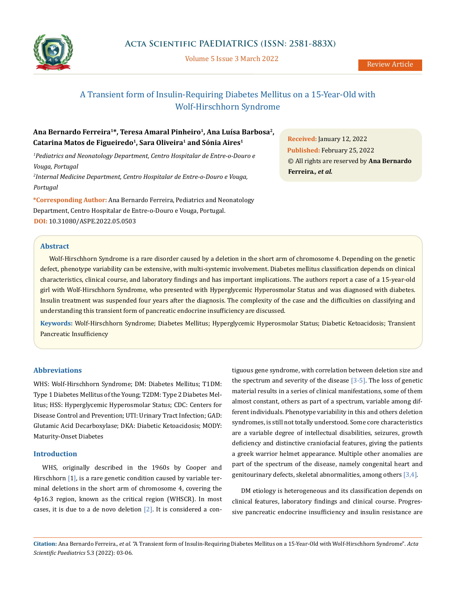

Volume 5 Issue 3 March 2022

# A Transient form of Insulin-Requiring Diabetes Mellitus on a 15-Year-Old with Wolf-Hirschhorn Syndrome

# Ana Bernardo Ferreira<sup>1\*</sup>, Teresa Amaral Pinheiro<sup>1</sup>, Ana Luísa Barbosa<sup>2</sup>, Catarina Matos de Figueiredo<sup>1</sup>, Sara Oliveira<sup>1</sup> and Sónia Aires<sup>1</sup>

*1 Pediatrics and Neonatology Department, Centro Hospitalar de Entre-o-Douro e Vouga, Portugal*

*2 Internal Medicine Department, Centro Hospitalar de Entre-o-Douro e Vouga, Portugal* 

**\*Corresponding Author:** Ana Bernardo Ferreira, Pediatrics and Neonatology Department, Centro Hospitalar de Entre-o-Douro e Vouga, Portugal. **DOI:** [10.31080/ASPE.2022.05.0503](https://actascientific.com/ASPE/pdf/ASPE-05-0503.pdf)

**Received:** January 12, 2022 **Published:** February 25, 2022 © All rights are reserved by **Ana Bernardo Ferreira***., et al.* 

# **Abstract**

Wolf-Hirschhorn Syndrome is a rare disorder caused by a deletion in the short arm of chromosome 4. Depending on the genetic defect, phenotype variability can be extensive, with multi-systemic involvement. Diabetes mellitus classification depends on clinical characteristics, clinical course, and laboratory findings and has important implications. The authors report a case of a 15-year-old girl with Wolf-Hirschhorn Syndrome, who presented with Hyperglycemic Hyperosmolar Status and was diagnosed with diabetes. Insulin treatment was suspended four years after the diagnosis. The complexity of the case and the difficulties on classifying and understanding this transient form of pancreatic endocrine insufficiency are discussed.

**Keywords:** Wolf-Hirschhorn Syndrome; Diabetes Mellitus; Hyperglycemic Hyperosmolar Status; Diabetic Ketoacidosis; Transient Pancreatic Insufficiency

## **Abbreviations**

WHS: Wolf-Hirschhorn Syndrome; DM: Diabetes Mellitus; T1DM: Type 1 Diabetes Mellitus of the Young; T2DM: Type 2 Diabetes Mellitus; HSS: Hyperglycemic Hyperosmolar Status; CDC: Centers for Disease Control and Prevention; UTI: Urinary Tract Infection; GAD: Glutamic Acid Decarboxylase; DKA: Diabetic Ketoacidosis; MODY: Maturity-Onset Diabetes

#### **Introduction**

WHS, originally described in the 1960s by Cooper and Hirschhorn [1], is a rare genetic condition caused by variable terminal deletions in the short arm of chromosome 4, covering the 4p16.3 region, known as the critical region (WHSCR). In most cases, it is due to a de novo deletion  $[2]$ . It is considered a contiguous gene syndrome, with correlation between deletion size and the spectrum and severity of the disease [3-5]. The loss of genetic material results in a series of clinical manifestations, some of them almost constant, others as part of a spectrum, variable among different individuals. Phenotype variability in this and others deletion syndromes, is still not totally understood. Some core characteristics are a variable degree of intellectual disabilities, seizures, growth deficiency and distinctive craniofacial features, giving the patients a greek warrior helmet appearance. Multiple other anomalies are part of the spectrum of the disease, namely congenital heart and genitourinary defects, skeletal abnormalities, among others  $[3,4]$ .

DM etiology is heterogeneous and its classification depends on clinical features, laboratory findings and clinical course. Progressive pancreatic endocrine insufficiency and insulin resistance are

**Citation:** Ana Bernardo Ferreira*., et al.* "A Transient form of Insulin-Requiring Diabetes Mellitus on a 15-Year-Old with Wolf-Hirschhorn Syndrome". *Acta Scientific Paediatrics* 5.3 (2022): 03-06.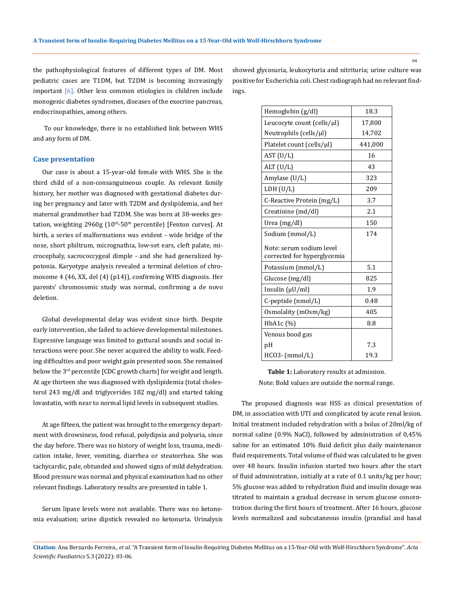the pathophysiological features of different types of DM. Most pediatric cases are T1DM, but T2DM is becoming increasingly important [6]. Other less common etiologies in children include monogenic diabetes syndromes, diseases of the exocrine pancreas, endocrinopathies, among others.

 To our knowledge, there is no established link between WHS and any form of DM.

#### **Case presentation**

Our case is about a 15-year-old female with WHS. She is the third child of a non-consanguineous couple. As relevant family history, her mother was diagnosed with gestational diabetes during her pregnancy and later with T2DM and dyslipidemia, and her maternal grandmother had T2DM. She was born at 38-weeks gestation, weighting  $2960g$   $(10<sup>th</sup>-50<sup>th</sup>$  percentile) [Fenton curves]. At birth, a series of malformations was evident - wide bridge of the nose, short philtrum, micrognathia, low-set ears, cleft palate, microcephaly, sacrococcygeal dimple - and she had generalized hypotonia. Karyotype analysis revealed a terminal deletion of chromosome 4 (46, XX, del (4) (p14)), confirming WHS diagnosis. Her parents' chromosomic study was normal, confirming a de novo deletion.

Global developmental delay was evident since birth. Despite early intervention, she failed to achieve developmental milestones. Expressive language was limited to guttural sounds and social interactions were poor. She never acquired the ability to walk. Feeding difficulties and poor weight gain presented soon. She remained below the 3<sup>rd</sup> percentile [CDC growth charts] for weight and length. At age thirteen she was diagnosed with dyslipidemia (total cholesterol 243 mg/dl and triglycerides 182 mg/dl) and started taking lovastatin, with near to normal lipid levels in subsequent studies.

At age fifteen, the patient was brought to the emergency department with drowsiness, food refusal, polydipsia and polyuria, since the day before. There was no history of weight loss, trauma, medication intake, fever, vomiting, diarrhea or steatorrhea. She was tachycardic, pale, obtunded and showed signs of mild dehydration. Blood pressure was normal and physical examination had no other relevant findings. Laboratory results are presented in table 1.

Serum lipase levels were not available. There was no ketonemia evaluation; urine dipstick revealed no ketonuria. Urinalysis showed glycosuria, leukocyturia and nitrituria; urine culture was positive for Escherichia coli. Chest radiograph had no relevant findings.

| Hemoglobin (g/dl)                                       | 18.3    |
|---------------------------------------------------------|---------|
| Leucocyte count (cells/µl)                              | 17,800  |
| Neutrophils (cells/ $\mu$ l)                            | 14,702  |
| Platelet count (cells/µl)                               | 441,000 |
| AST (U/L)                                               | 16      |
| ALT (U/L)                                               | 43      |
| Amylase (U/L)                                           | 323     |
| LDH (U/L)                                               | 209     |
| C-Reactive Protein (mg/L)                               | 3.7     |
| Creatinine (md/dl)                                      | 2.1     |
| Urea (mg/dl)                                            | 150     |
| Sodium (mmol/L)                                         | 174     |
| Note: serum sodium level<br>corrected for hyperglycemia |         |
| Potassium (mmol/L)                                      | 5.1     |
| Glucose (mg/dl)                                         | 825     |
| Insulin $(\mu U/ml)$                                    | 1.9     |
| C-peptide (nmol/L)                                      | 0.48    |
| Osmolality (mOsm/kg)                                    | 405     |
| HbA1c(%)                                                | 8.8     |
| Venous bood gas                                         |         |
| pH                                                      | 7.3     |
| $HCO3-$ (mmol/L)                                        | 19.3    |

**Table 1:** Laboratory results at admission. Note: Bold values are outside the normal range.

The proposed diagnosis was HSS as clinical presentation of DM, in association with UTI and complicated by acute renal lesion. Initial treatment included rehydration with a bolus of 20ml/kg of normal saline (0.9% NaCl), followed by administration of 0,45% saline for an estimated 10% fluid deficit plus daily maintenance fluid requirements. Total volume of fluid was calculated to be given over 48 hours. Insulin infusion started two hours after the start of fluid administration, initially at a rate of 0.1 units/kg per hour; 5% glucose was added to rehydration fluid and insulin dosage was titrated to maintain a gradual decrease in serum glucose concentration during the first hours of treatment. After 16 hours, glucose levels normalized and subcutaneous insulin (prandial and basal

**Citation:** Ana Bernardo Ferreira*., et al.* "A Transient form of Insulin-Requiring Diabetes Mellitus on a 15-Year-Old with Wolf-Hirschhorn Syndrome". *Acta Scientific Paediatrics* 5.3 (2022): 03-06.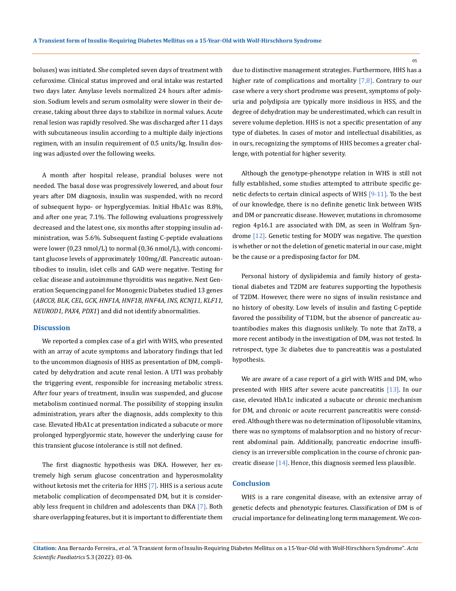boluses) was initiated. She completed seven days of treatment with cefuroxime. Clinical status improved and oral intake was restarted two days later. Amylase levels normalized 24 hours after admission. Sodium levels and serum osmolality were slower in their decrease, taking about three days to stabilize in normal values. Acute renal lesion was rapidly resolved. She was discharged after 11 days with subcutaneous insulin according to a multiple daily injections regimen, with an insulin requirement of 0.5 units/kg. Insulin dosing was adjusted over the following weeks.

A month after hospital release, prandial boluses were not needed. The basal dose was progressively lowered, and about four years after DM diagnosis, insulin was suspended, with no record of subsequent hypo- or hyperglycemias. Initial HbA1c was 8.8%, and after one year, 7.1%. The following evaluations progressively decreased and the latest one, six months after stopping insulin administration, was 5.6%. Subsequent fasting C-peptide evaluations were lower (0,23 nmol/L) to normal (0,36 nmol/L), with concomitant glucose levels of approximately 100mg/dl. Pancreatic autoantibodies to insulin, islet cells and GAD were negative. Testing for celiac disease and autoimmune thyroiditis was negative. Next Generation Sequencing panel for Monogenic Diabetes studied 13 genes (*ABCC8, BLK, CEL, GCK, HNF1A, HNF1B, HNF4A, INS, KCNJ11, KLF11, NEUROD1, PAX4, PDX1*) and did not identify abnormalities.

#### **Discussion**

We reported a complex case of a girl with WHS, who presented with an array of acute symptoms and laboratory findings that led to the uncommon diagnosis of HHS as presentation of DM, complicated by dehydration and acute renal lesion. A UTI was probably the triggering event, responsible for increasing metabolic stress. After four years of treatment, insulin was suspended, and glucose metabolism continued normal. The possibility of stopping insulin administration, years after the diagnosis, adds complexity to this case. Elevated HbA1c at presentation indicated a subacute or more prolonged hyperglycemic state, however the underlying cause for this transient glucose intolerance is still not defined.

The first diagnostic hypothesis was DKA. However, her extremely high serum glucose concentration and hyperosmolality without ketosis met the criteria for HHS [7]. HHS is a serious acute metabolic complication of decompensated DM, but it is considerably less frequent in children and adolescents than DKA [7]. Both share overlapping features, but it is important to differentiate them due to distinctive management strategies. Furthermore, HHS has a higher rate of complications and mortality  $[7,8]$ . Contrary to our case where a very short prodrome was present, symptoms of polyuria and polydipsia are typically more insidious in HSS, and the degree of dehydration may be underestimated, which can result in severe volume depletion. HHS is not a specific presentation of any type of diabetes. In cases of motor and intellectual disabilities, as in ours, recognizing the symptoms of HHS becomes a greater challenge, with potential for higher severity.

Although the genotype-phenotype relation in WHS is still not fully established, some studies attempted to attribute specific genetic defects to certain clinical aspects of WHS [9-11]. To the best of our knowledge, there is no definite genetic link between WHS and DM or pancreatic disease. However, mutations in chromosome region 4p16.1 are associated with DM, as seen in Wolfram Syndrome [12]. Genetic testing for MODY was negative. The question is whether or not the deletion of genetic material in our case, might be the cause or a predisposing factor for DM.

Personal history of dyslipidemia and family history of gestational diabetes and T2DM are features supporting the hypothesis of T2DM. However, there were no signs of insulin resistance and no history of obesity. Low levels of insulin and fasting C-peptide favored the possibility of T1DM, but the absence of pancreatic autoantibodies makes this diagnosis unlikely. To note that ZnT8, a more recent antibody in the investigation of DM, was not tested. In retrospect, type 3c diabetes due to pancreatitis was a postulated hypothesis.

We are aware of a case report of a girl with WHS and DM, who presented with HHS after severe acute pancreatitis [13]. In our case, elevated HbA1c indicated a subacute or chronic mechanism for DM, and chronic or acute recurrent pancreatitis were considered. Although there was no determination of liposoluble vitamins, there was no symptoms of malabsorption and no history of recurrent abdominal pain. Additionally, pancreatic endocrine insufficiency is an irreversible complication in the course of chronic pancreatic disease [14]. Hence, this diagnosis seemed less plausible.

#### **Conclusion**

WHS is a rare congenital disease, with an extensive array of genetic defects and phenotypic features. Classification of DM is of crucial importance for delineating long term management. We con-

05

**Citation:** Ana Bernardo Ferreira*., et al.* "A Transient form of Insulin-Requiring Diabetes Mellitus on a 15-Year-Old with Wolf-Hirschhorn Syndrome". *Acta Scientific Paediatrics* 5.3 (2022): 03-06.